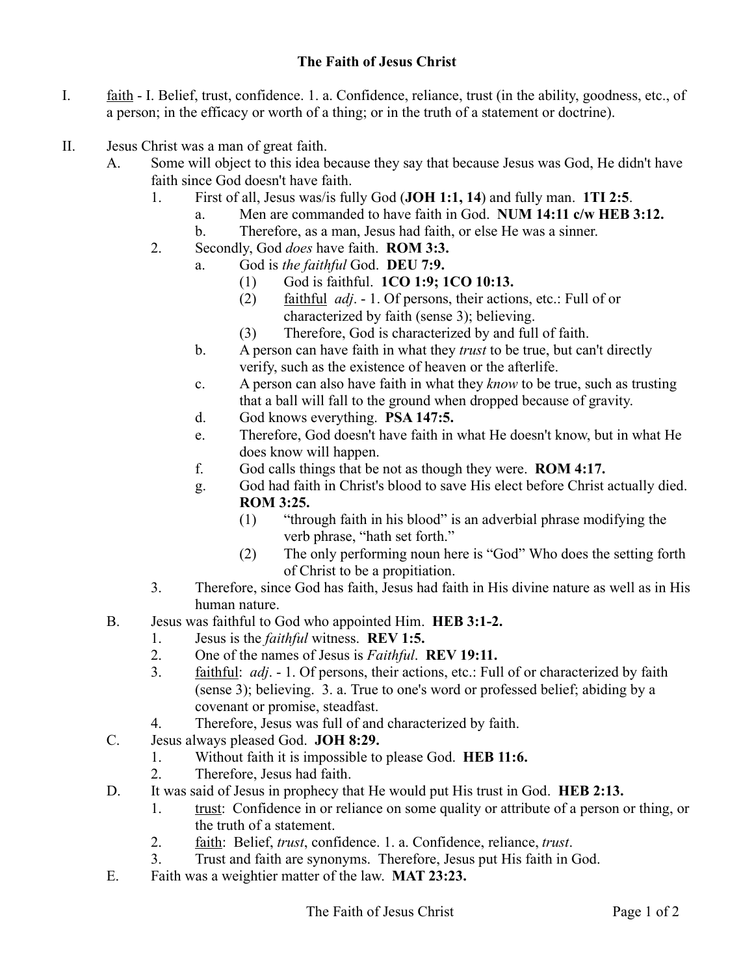## **The Faith of Jesus Christ**

- I. faith I. Belief, trust, confidence. 1. a. Confidence, reliance, trust (in the ability, goodness, etc., of a person; in the efficacy or worth of a thing; or in the truth of a statement or doctrine).
- II. Jesus Christ was a man of great faith.
	- A. Some will object to this idea because they say that because Jesus was God, He didn't have faith since God doesn't have faith.
		- 1. First of all, Jesus was/is fully God (**JOH 1:1, 14**) and fully man. **1TI 2:5**.
			- a. Men are commanded to have faith in God. **NUM 14:11 c/w HEB 3:12.**
				- b. Therefore, as a man, Jesus had faith, or else He was a sinner.
		- 2. Secondly, God *does* have faith. **ROM 3:3.**
			- a. God is *the faithful* God. **DEU 7:9.**
				- (1) God is faithful. **1CO 1:9; 1CO 10:13.**
				- (2) faithful *adj*. 1. Of persons, their actions, etc.: Full of or characterized by faith (sense 3); believing.
				- (3) Therefore, God is characterized by and full of faith.
				- b. A person can have faith in what they *trust* to be true, but can't directly verify, such as the existence of heaven or the afterlife.
				- c. A person can also have faith in what they *know* to be true, such as trusting that a ball will fall to the ground when dropped because of gravity.
				- d. God knows everything. **PSA 147:5.**
				- e. Therefore, God doesn't have faith in what He doesn't know, but in what He does know will happen.
				- f. God calls things that be not as though they were. **ROM 4:17.**
				- g. God had faith in Christ's blood to save His elect before Christ actually died. **ROM 3:25.**
					- (1) "through faith in his blood" is an adverbial phrase modifying the verb phrase, "hath set forth."
					- (2) The only performing noun here is "God" Who does the setting forth of Christ to be a propitiation.
		- 3. Therefore, since God has faith, Jesus had faith in His divine nature as well as in His human nature.
	- B. Jesus was faithful to God who appointed Him. **HEB 3:1-2.**
		- 1. Jesus is the *faithful* witness. **REV 1:5.**
		- 2. One of the names of Jesus is *Faithful*. **REV 19:11.**
		- 3. faithful: *adj*. 1. Of persons, their actions, etc.: Full of or characterized by faith (sense 3); believing. 3. a. True to one's word or professed belief; abiding by a covenant or promise, steadfast.
		- 4. Therefore, Jesus was full of and characterized by faith.
	- C. Jesus always pleased God. **JOH 8:29.**
		- 1. Without faith it is impossible to please God. **HEB 11:6.**
		- 2. Therefore, Jesus had faith.
	- D. It was said of Jesus in prophecy that He would put His trust in God. **HEB 2:13.**
		- 1. trust: Confidence in or reliance on some quality or attribute of a person or thing, or the truth of a statement.
		- 2. faith: Belief, *trust*, confidence. 1. a. Confidence, reliance, *trust*.
		- 3. Trust and faith are synonyms. Therefore, Jesus put His faith in God.
	- E. Faith was a weightier matter of the law. **MAT 23:23.**